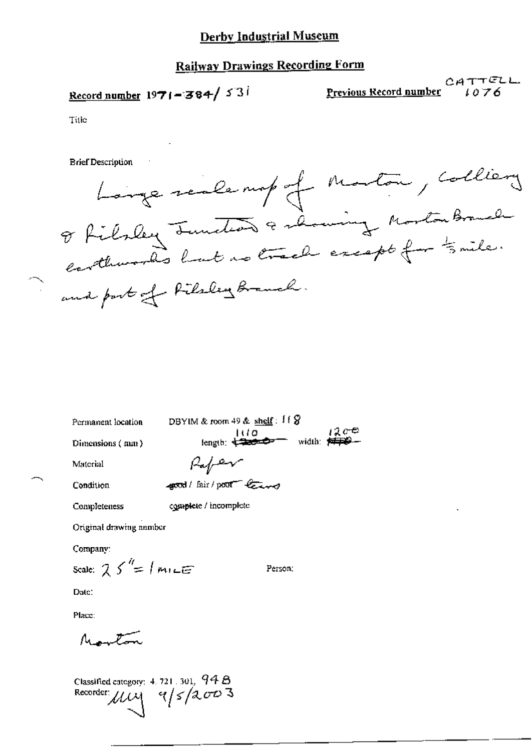# Record number 1971-384/531

 $CATTELL$ Previous Record number  $1076$ 

Title

**Brief Description** 

Longe realempt of Monton, colliery enthusias haut notre except for time.

Permanent location

Dimensions (nun)

DBYIM & room 49 & shelf:  $\{ \emptyset$  $1200$  $100$ length:  $\frac{1}{2}$  = width:  $\frac{1}{2}$ Rafer

Condition

Material

good/fair/poor leave

Completeness

complete / incomplete

Original drawing number

Company:

Scale:  $25'' = |m|$ 

Person:

Date:

Place:

 $\mu = r$ 

Classified category:  $4.721$  ,  $301$ ,  $94B$ Recorder  $\mu$  $\sim$   $9/5/2003$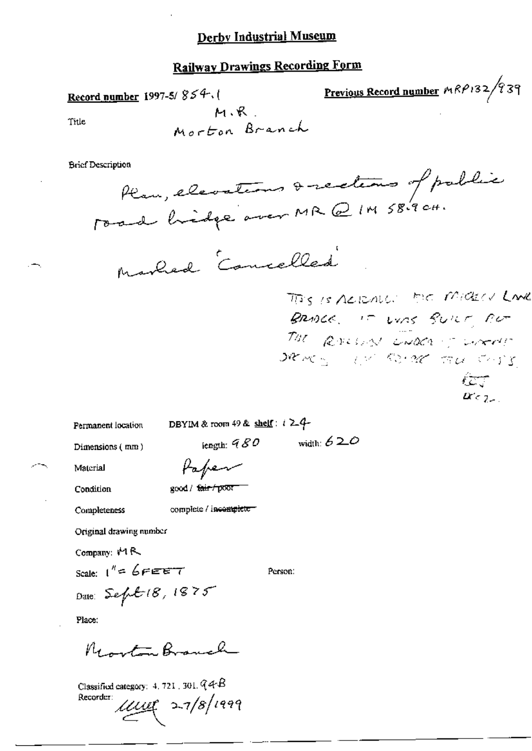Previous Record number MRP132/939 Record number 1997-5/ $854.$  $M, R$ Title Morton Branch

**Brief Description** 



This is Actually the Mickell Lane BRIDGE, IT LINS BUILT AUT THE ROLLIN ENDER TO CONTROL same we come for come  $2c_{\text{c}}$ 

Permanent location

DBYIM & room 49 & shelf:  $i \geq 4$ -

iength:  $980$ 

Dimensions (mm)

Paper

Condition

Material

good / fair / poor complete / incomplete-

Completeness

Original drawing number

Company: 14R

Scale:  $1'' = 6$ FEET Date: Sept 18, 1875

Person:

width:  $620$ 

Place:

Renta Branch

Classified category: 4, 721, 301,  $Q \triangleleft B$ Recorder:  $\mu$ uy 27/8/1999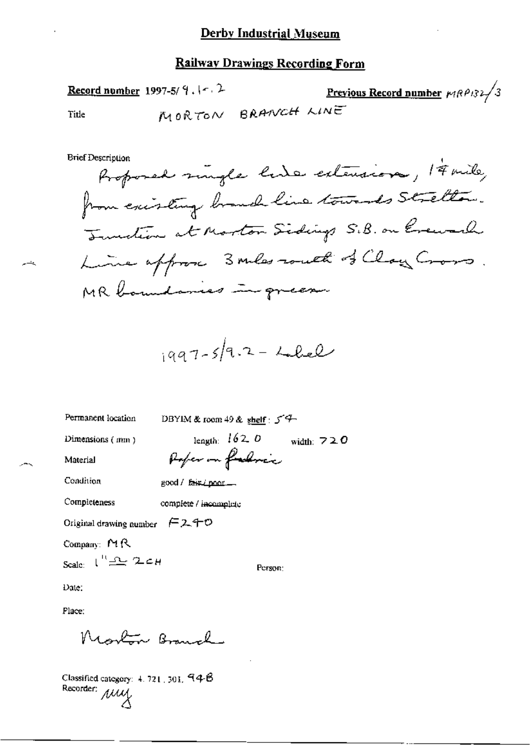Record number 1997-5/ $9.1 - 2$ Previous Record number  $MRP/3$ MORTON BRANCH LINE

 $\mathcal{A}$ 

**Brief Description** 

Title

لتحاسر

$$
1997-5/9.2 - L.Lel
$$

Permanent location

DBYIM & room 49 & shelf:  $5^4$ 

Dimensions (mm)

Material

length:  $162.0$  width:  $72.0$ Poper on farling

Condition

good / fair (poor ...

Completeness

complete / incomplete

Original drawing number  $\epsilon$ 2.40

Company: MR

Scale:  $\iota^{\prime\prime}$   $\Delta$   $\iota$ 

Person:

Date:

Place:

Moston Branch

Classified category: 4, 721, 301, 94-B Recorder: My